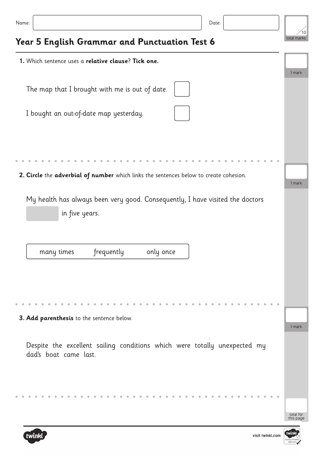| 1. Which sentence uses a relative clause? Tick one.                                                |                        |
|----------------------------------------------------------------------------------------------------|------------------------|
| The map that I brought with me is out of date.                                                     | 1 mark                 |
| I bought an out-of-date map yesterday.                                                             |                        |
|                                                                                                    |                        |
| 2. Circle the adverbial of number which links the sentences below to create cohesion.              | 1 mark                 |
| My health has always been very good. Consequently, I have visited the doctors<br>in five years.    |                        |
| frequently<br>only once<br>many times                                                              |                        |
|                                                                                                    |                        |
| 3. Add parenthesis to the sentence below.                                                          | 1 mark                 |
| Despite the excellent sailing conditions which were totally unexpected my<br>dad's boat came last. |                        |
|                                                                                                    | total for<br>this page |



10

total marks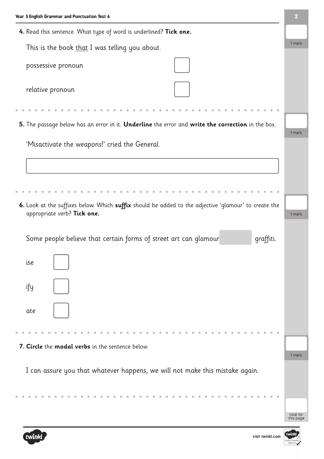



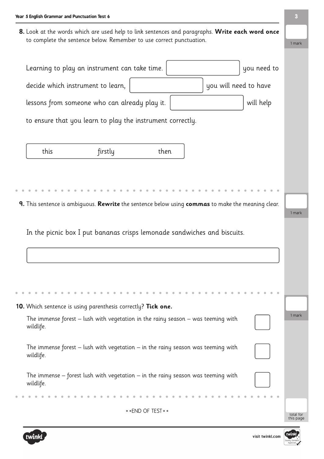**8.** Look at the words which are used help to link sentences and paragraphs. **Write each word once** to complete the sentence below. Remember to use correct punctuation.

| Learning to play an instrument can take time.                                                     | you need to |                        |
|---------------------------------------------------------------------------------------------------|-------------|------------------------|
| you will need to have<br>decide which instrument to learn,                                        |             |                        |
| lessons from someone who can already play it.                                                     | will help   |                        |
| to ensure that you learn to play the instrument correctly.                                        |             |                        |
| this<br>firstly<br>then                                                                           |             |                        |
|                                                                                                   |             |                        |
| 9. This sentence is ambiguous. Rewrite the sentence below using commas to make the meaning clear. |             | 1 mark                 |
| In the picnic box I put bananas crisps lemonade sandwiches and biscuits.                          |             |                        |
|                                                                                                   |             |                        |
|                                                                                                   |             |                        |
|                                                                                                   |             |                        |
| 10. Which sentence is using parenthesis correctly? Tick one.                                      |             |                        |
| The immense forest $-$ lush with vegetation in the rainy season $-$ was teeming with<br>wildlife. |             | 1 mark                 |
| The immense forest $-$ lush with vegetation $-$ in the rainy season was teeming with<br>wildlife. |             |                        |
| The immense $-$ forest lush with vegetation $-$ in the rainy season was teeming with<br>wildlife. |             |                        |
|                                                                                                   |             |                        |
| ** END OF TEST **                                                                                 |             | total for<br>this page |



1 mark